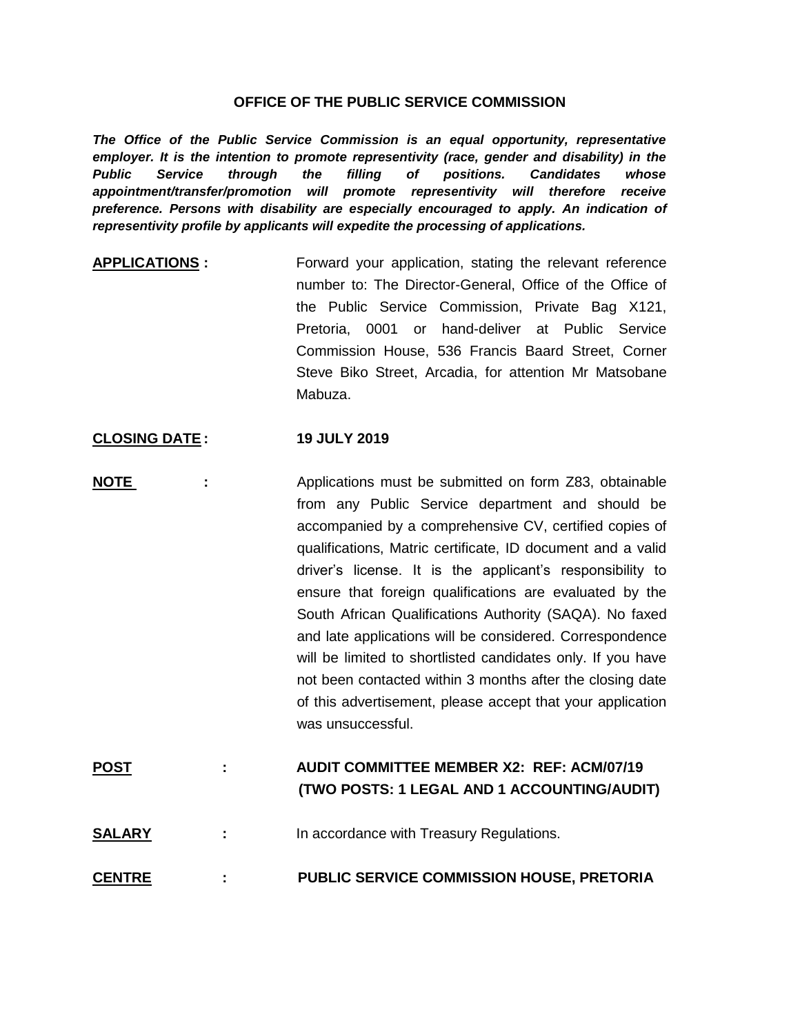## **OFFICE OF THE PUBLIC SERVICE COMMISSION**

*The Office of the Public Service Commission is an equal opportunity, representative*  employer. It is the intention to promote representivity (race, gender and disability) in the *Public Service through the filling of positions. Candidates whose appointment/transfer/promotion will promote representivity will therefore receive preference. Persons with disability are especially encouraged to apply. An indication of representivity profile by applicants will expedite the processing of applications.*

**APPLICATIONS** : Forward your application, stating the relevant reference number to: The Director-General, Office of the Office of the Public Service Commission, Private Bag X121, Pretoria, 0001 or hand-deliver at Public Service Commission House, 536 Francis Baard Street, Corner Steve Biko Street, Arcadia, for attention Mr Matsobane Mabuza.

## **CLOSING DATE : 19 JULY 2019**

- **NOTE** : Applications must be submitted on form Z83, obtainable from any Public Service department and should be accompanied by a comprehensive CV, certified copies of qualifications, Matric certificate, ID document and a valid driver's license. It is the applicant's responsibility to ensure that foreign qualifications are evaluated by the South African Qualifications Authority (SAQA). No faxed and late applications will be considered. Correspondence will be limited to shortlisted candidates only. If you have not been contacted within 3 months after the closing date of this advertisement, please accept that your application was unsuccessful.
- **POST : AUDIT COMMITTEE MEMBER X2: REF: ACM/07/19 (TWO POSTS: 1 LEGAL AND 1 ACCOUNTING/AUDIT)**
- **SALARY** : In accordance with Treasury Regulations.
- **CENTRE : PUBLIC SERVICE COMMISSION HOUSE, PRETORIA**